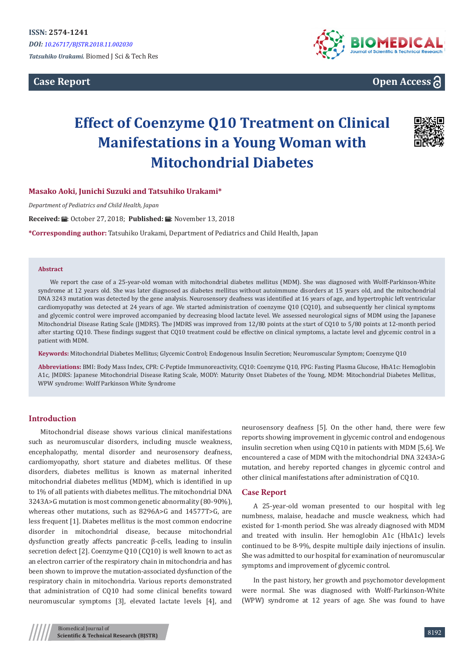**Case Report**





# **Effect of Coenzyme Q10 Treatment on Clinical Manifestations in a Young Woman with Mitochondrial Diabetes**



# **Masako Aoki, Junichi Suzuki and Tatsuhiko Urakami\***

*Department of Pediatrics and Child Health, Japan*

**Received: A:** October 27, 2018; Published:  $\overrightarrow{H}$ : November 13, 2018

**\*Corresponding author:** Tatsuhiko Urakami, Department of Pediatrics and Child Health, Japan

#### **Abstract**

We report the case of a 25-year-old woman with mitochondrial diabetes mellitus (MDM). She was diagnosed with Wolff-Parkinson-White syndrome at 12 years old. She was later diagnosed as diabetes mellitus without autoimmune disorders at 15 years old, and the mitochondrial DNA 3243 mutation was detected by the gene analysis. Neurosensory deafness was identified at 16 years of age, and hypertrophic left ventricular cardiomyopathy was detected at 24 years of age. We started administration of coenzyme Q10 (CQ10), and subsequently her clinical symptoms and glycemic control were improved accompanied by decreasing blood lactate level. We assessed neurological signs of MDM using the Japanese Mitochondrial Disease Rating Scale (JMDRS). The JMDRS was improved from 12/80 points at the start of CQ10 to 5/80 points at 12-month period after starting CQ10. These findings suggest that CQ10 treatment could be effective on clinical symptoms, a lactate level and glycemic control in a patient with MDM.

**Keywords:** Mitochondrial Diabetes Mellitus; Glycemic Control; Endogenous Insulin Secretion; Neuromuscular Symptom; Coenzyme Q10

**Abbreviations:** BMI: Body Mass Index, CPR: C-Peptide Immunoreactivity, CQ10: Coenzyme Q10, FPG: Fasting Plasma Glucose, HbA1c: Hemoglobin A1c, JMDRS: Japanese Mitochondrial Disease Rating Scale, MODY: Maturity Onset Diabetes of the Young, MDM: Mitochondrial Diabetes Mellitus, WPW syndrome: Wolff Parkinson White Syndrome

## **Introduction**

Mitochondrial disease shows various clinical manifestations such as neuromuscular disorders, including muscle weakness, encephalopathy, mental disorder and neurosensory deafness, cardiomyopathy, short stature and diabetes mellitus. Of these disorders, diabetes mellitus is known as maternal inherited mitochondrial diabetes mellitus (MDM), which is identified in up to 1% of all patients with diabetes mellitus. The mitochondrial DNA 3243A>G mutation is most common genetic abnormality (80-90%), whereas other mutations, such as 8296A>G and 14577T>G, are less frequent [1]. Diabetes mellitus is the most common endocrine disorder in mitochondrial disease, because mitochondrial dysfunction greatly affects pancreatic β-cells, leading to insulin secretion defect [2]. Coenzyme Q10 (CQ10) is well known to act as an electron carrier of the respiratory chain in mitochondria and has been shown to improve the mutation-associated dysfunction of the respiratory chain in mitochondria. Various reports demonstrated that administration of CQ10 had some clinical benefits toward neuromuscular symptoms [3], elevated lactate levels [4], and

neurosensory deafness [5]. On the other hand, there were few reports showing improvement in glycemic control and endogenous insulin secretion when using CQ10 in patients with MDM [5,6]. We encountered a case of MDM with the mitochondrial DNA 3243A>G mutation, and hereby reported changes in glycemic control and other clinical manifestations after administration of CQ10.

#### **Case Report**

A 25-year-old woman presented to our hospital with leg numbness, malaise, headache and muscle weakness, which had existed for 1-month period. She was already diagnosed with MDM and treated with insulin. Her hemoglobin A1c (HbA1c) levels continued to be 8-9%, despite multiple daily injections of insulin. She was admitted to our hospital for examination of neuromuscular symptoms and improvement of glycemic control.

In the past history, her growth and psychomotor development were normal. She was diagnosed with Wolff-Parkinson-White (WPW) syndrome at 12 years of age. She was found to have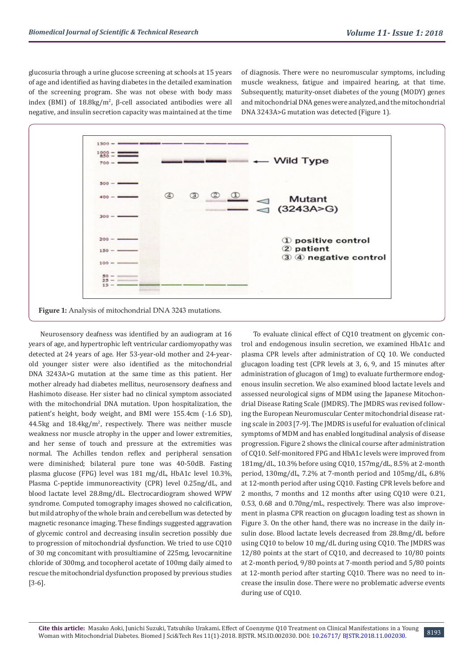glucosuria through a urine glucose screening at schools at 15 years of age and identified as having diabetes in the detailed examination of the screening program. She was not obese with body mass index (BMI) of 18.8kg/m<sup>2</sup>, β-cell associated antibodies were all negative, and insulin secretion capacity was maintained at the time

of diagnosis. There were no neuromuscular symptoms, including muscle weakness, fatigue and impaired hearing, at that time. Subsequently, maturity-onset diabetes of the young (MODY) genes and mitochondrial DNA genes were analyzed, and the mitochondrial DNA 3243A>G mutation was detected (Figure 1).



Neurosensory deafness was identified by an audiogram at 16 years of age, and hypertrophic left ventricular cardiomyopathy was detected at 24 years of age. Her 53-year-old mother and 24-yearold younger sister were also identified as the mitochondrial DNA 3243A>G mutation at the same time as this patient. Her mother already had diabetes mellitus, neurosensory deafness and Hashimoto disease. Her sister had no clinical symptom associated with the mitochondrial DNA mutation. Upon hospitalization, the patient's height, body weight, and BMI were 155.4cm (-1.6 SD),  $44.5\text{kg}$  and  $18.4\text{kg/m}^2$ , respectively. There was neither muscle weakness nor muscle atrophy in the upper and lower extremities, and her sense of touch and pressure at the extremities was normal. The Achilles tendon reflex and peripheral sensation were diminished; bilateral pure tone was 40-50dB. Fasting plasma glucose (FPG) level was 181 mg/dL, HbA1c level 10.3%, Plasma C-peptide immunoreactivity (CPR) level 0.25ng/dL, and blood lactate level 28.8mg/dL. Electrocardiogram showed WPW syndrome. Computed tomography images showed no calcification, but mild atrophy of the whole brain and cerebellum was detected by magnetic resonance imaging. These findings suggested aggravation of glycemic control and decreasing insulin secretion possibly due to progression of mitochondrial dysfunction. We tried to use CQ10 of 30 mg concomitant with prosultiamine of 225mg, levocarnitine chloride of 300mg, and tocopherol acetate of 100mg daily aimed to rescue the mitochondrial dysfunction proposed by previous studies [3-6].

To evaluate clinical effect of CQ10 treatment on glycemic control and endogenous insulin secretion, we examined HbA1c and plasma CPR levels after administration of CQ 10. We conducted glucagon loading test (CPR levels at 3, 6, 9, and 15 minutes after administration of glucagon of 1mg) to evaluate furthermore endogenous insulin secretion. We also examined blood lactate levels and assessed neurological signs of MDM using the Japanese Mitochondrial Disease Rating Scale (JMDRS). The JMDRS was revised following the European Neuromuscular Center mitochondrial disease rating scale in 2003 [7-9]. The JMDRS is useful for evaluation of clinical symptoms of MDM and has enabled longitudinal analysis of disease progression. Figure 2 shows the clinical course after administration of CQ10. Self-monitored FPG and HbA1c levels were improved from 181mg/dL, 10.3% before using CQ10, 157mg/dL, 8.5% at 2-month period, 130mg/dL, 7.2% at 7-month period and 105mg/dL, 6.8% at 12-month period after using CQ10. Fasting CPR levels before and 2 months, 7 months and 12 months after using CQ10 were 0.21, 0.53, 0.68 and 0.70ng/mL, respectively. There was also improvement in plasma CPR reaction on glucagon loading test as shown in Figure 3. On the other hand, there was no increase in the daily insulin dose. Blood lactate levels decreased from 28.8mg/dL before using CQ10 to below 10 mg/dL during using CQ10. The JMDRS was 12/80 points at the start of CQ10, and decreased to 10/80 points at 2-month period, 9/80 points at 7-month period and 5/80 points at 12-month period after starting CQ10. There was no need to increase the insulin dose. There were no problematic adverse events during use of CQ10.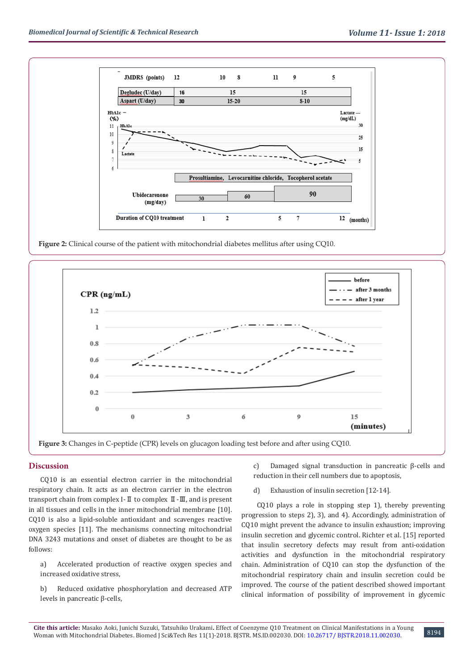

**Figure 2:** Clinical course of the patient with mitochondrial diabetes mellitus after using CQ10.



**Figure 3:** Changes in C-peptide (CPR) levels on glucagon loading test before and after using CQ10.

## **Discussion**

CQ10 is an essential electron carrier in the mitochondrial respiratory chain. It acts as an electron carrier in the electron transport chain from complex I-Ⅱ to complex Ⅱ-Ⅲ, and is present in all tissues and cells in the inner mitochondrial membrane [10]. CQ10 is also a lipid-soluble antioxidant and scavenges reactive oxygen species [11]. The mechanisms connecting mitochondrial DNA 3243 mutations and onset of diabetes are thought to be as follows:

a) Accelerated production of reactive oxygen species and increased oxidative stress,

b) Reduced oxidative phosphorylation and decreased ATP levels in pancreatic β-cells,

c) Damaged signal transduction in pancreatic β-cells and reduction in their cell numbers due to apoptosis,

d) Exhaustion of insulin secretion [12-14].

 CQ10 plays a role in stopping step 1), thereby preventing progression to steps 2), 3), and 4). Accordingly, administration of CQ10 might prevent the advance to insulin exhaustion; improving insulin secretion and glycemic control. Richter et al. [15] reported that insulin secretory defects may result from anti-oxidation activities and dysfunction in the mitochondrial respiratory chain. Administration of CQ10 can stop the dysfunction of the mitochondrial respiratory chain and insulin secretion could be improved. The course of the patient described showed important clinical information of possibility of improvement in glycemic